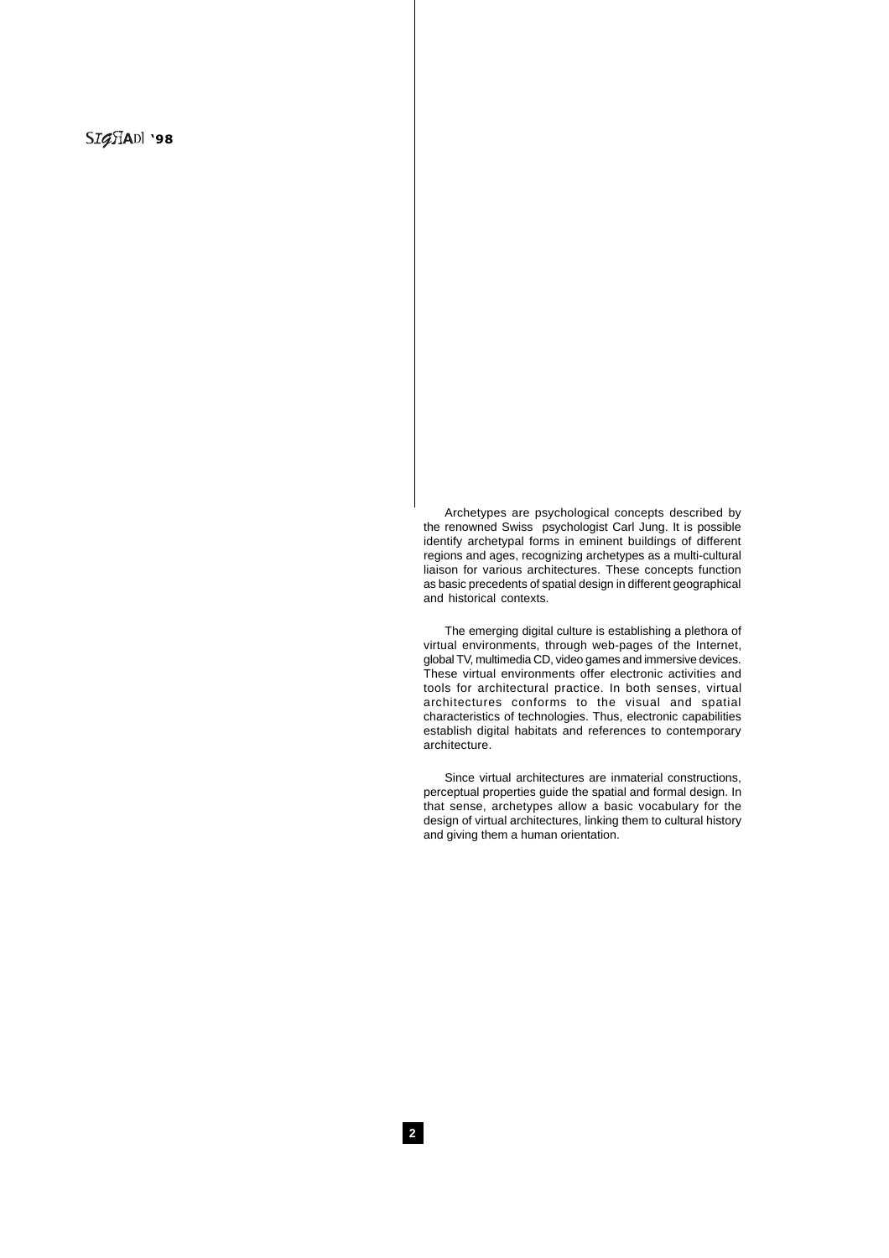Archetypes are psychological concepts described by the renowned Swiss psychologist Carl Jung. It is possible identify archetypal forms in eminent buildings of different regions and ages, recognizing archetypes as a multi-cultural liaison for various architectures. These concepts function as basic precedents of spatial design in different geographical and historical contexts.

The emerging digital culture is establishing a plethora of virtual environments, through web-pages of the Internet, global TV, multimedia CD, video games and immersive devices. These virtual environments offer electronic activities and tools for architectural practice. In both senses, virtual architectures conforms to the visual and spatial characteristics of technologies. Thus, electronic capabilities establish digital habitats and references to contemporary architecture.

Since virtual architectures are inmaterial constructions, perceptual properties guide the spatial and formal design. In that sense, archetypes allow a basic vocabulary for the design of virtual architectures, linking them to cultural history and giving them a human orientation.

**2**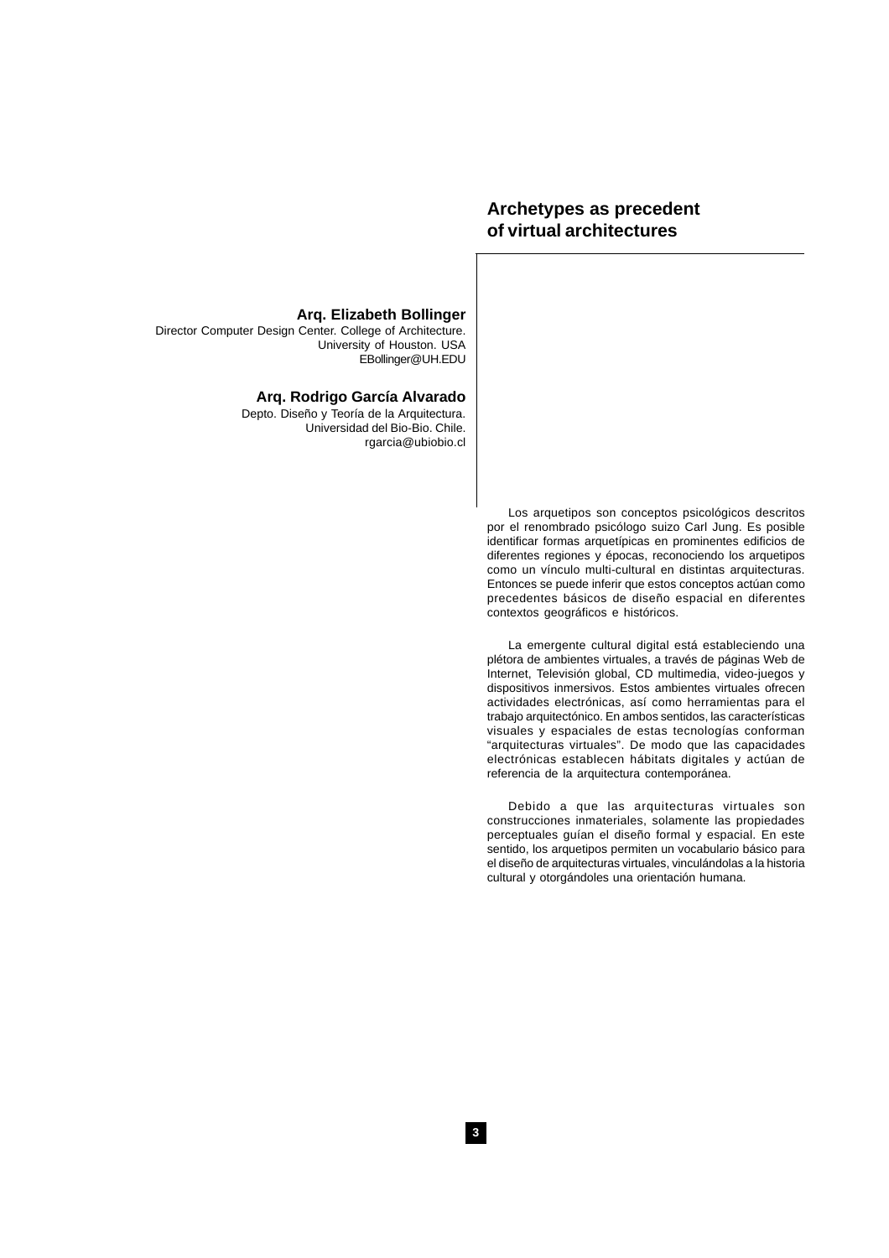# **Archetypes as precedent of virtual architectures**

**Arq. Elizabeth Bollinger**

Director Computer Design Center. College of Architecture. University of Houston. USA EBollinger@UH.EDU

#### **Arq. Rodrigo García Alvarado**

Depto. Diseño y Teoría de la Arquitectura. Universidad del Bio-Bio. Chile. rgarcia@ubiobio.cl

> Los arquetipos son conceptos psicológicos descritos por el renombrado psicólogo suizo Carl Jung. Es posible identificar formas arquetípicas en prominentes edificios de diferentes regiones y épocas, reconociendo los arquetipos como un vínculo multi-cultural en distintas arquitecturas. Entonces se puede inferir que estos conceptos actúan como precedentes básicos de diseño espacial en diferentes contextos geográficos e históricos.

> La emergente cultural digital está estableciendo una plétora de ambientes virtuales, a través de páginas Web de Internet, Televisión global, CD multimedia, video-juegos y dispositivos inmersivos. Estos ambientes virtuales ofrecen actividades electrónicas, así como herramientas para el trabajo arquitectónico. En ambos sentidos, las características visuales y espaciales de estas tecnologías conforman "arquitecturas virtuales". De modo que las capacidades electrónicas establecen hábitats digitales y actúan de referencia de la arquitectura contemporánea.

> Debido a que las arquitecturas virtuales son construcciones inmateriales, solamente las propiedades perceptuales guían el diseño formal y espacial. En este sentido, los arquetipos permiten un vocabulario básico para el diseño de arquitecturas virtuales, vinculándolas a la historia cultural y otorgándoles una orientación humana.

**3**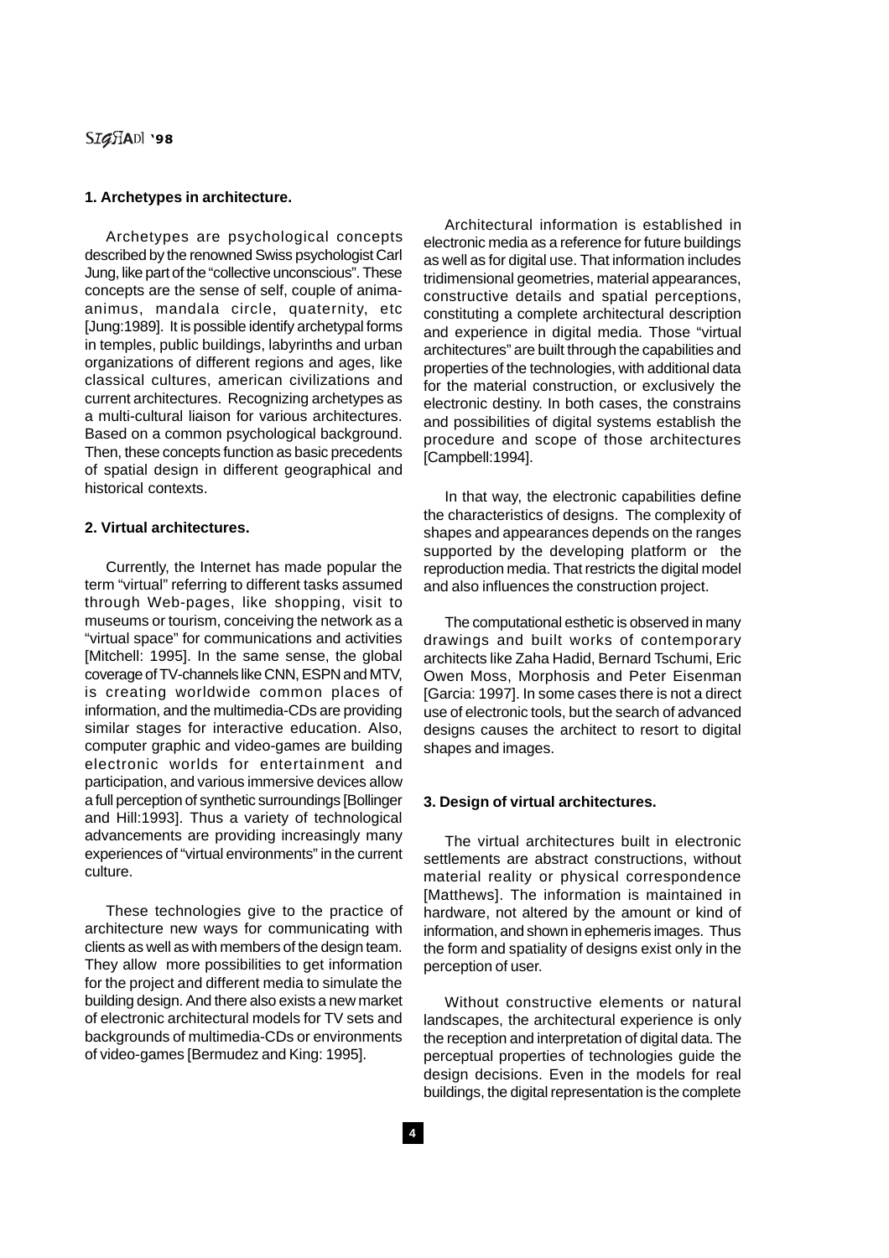# **SIGHADI '98**

#### **1. Archetypes in architecture.**

Archetypes are psychological concepts described by the renowned Swiss psychologist Carl Jung, like part of the "collective unconscious". These concepts are the sense of self, couple of animaanimus, mandala circle, quaternity, etc [Jung:1989]. It is possible identify archetypal forms in temples, public buildings, labyrinths and urban organizations of different regions and ages, like classical cultures, american civilizations and current architectures. Recognizing archetypes as a multi-cultural liaison for various architectures. Based on a common psychological background. Then, these concepts function as basic precedents of spatial design in different geographical and historical contexts.

## **2. Virtual architectures.**

Currently, the Internet has made popular the term "virtual" referring to different tasks assumed through Web-pages, like shopping, visit to museums or tourism, conceiving the network as a "virtual space" for communications and activities [Mitchell: 1995]. In the same sense, the global coverage of TV-channels like CNN, ESPN and MTV, is creating worldwide common places of information, and the multimedia-CDs are providing similar stages for interactive education. Also, computer graphic and video-games are building electronic worlds for entertainment and participation, and various immersive devices allow a full perception of synthetic surroundings [Bollinger and Hill:1993]. Thus a variety of technological advancements are providing increasingly many experiences of "virtual environments" in the current culture.

These technologies give to the practice of architecture new ways for communicating with clients as well as with members of the design team. They allow more possibilities to get information for the project and different media to simulate the building design. And there also exists a new market of electronic architectural models for TV sets and backgrounds of multimedia-CDs or environments of video-games [Bermudez and King: 1995].

Architectural information is established in electronic media as a reference for future buildings as well as for digital use. That information includes tridimensional geometries, material appearances, constructive details and spatial perceptions, constituting a complete architectural description and experience in digital media. Those "virtual architectures" are built through the capabilities and properties of the technologies, with additional data for the material construction, or exclusively the electronic destiny. In both cases, the constrains and possibilities of digital systems establish the procedure and scope of those architectures [Campbell:1994].

In that way, the electronic capabilities define the characteristics of designs. The complexity of shapes and appearances depends on the ranges supported by the developing platform or the reproduction media. That restricts the digital model and also influences the construction project.

The computational esthetic is observed in many drawings and built works of contemporary architects like Zaha Hadid, Bernard Tschumi, Eric Owen Moss, Morphosis and Peter Eisenman [Garcia: 1997]. In some cases there is not a direct use of electronic tools, but the search of advanced designs causes the architect to resort to digital shapes and images.

### **3. Design of virtual architectures.**

The virtual architectures built in electronic settlements are abstract constructions, without material reality or physical correspondence [Matthews]. The information is maintained in hardware, not altered by the amount or kind of information, and shown in ephemeris images. Thus the form and spatiality of designs exist only in the perception of user.

Without constructive elements or natural landscapes, the architectural experience is only the reception and interpretation of digital data. The perceptual properties of technologies guide the design decisions. Even in the models for real buildings, the digital representation is the complete